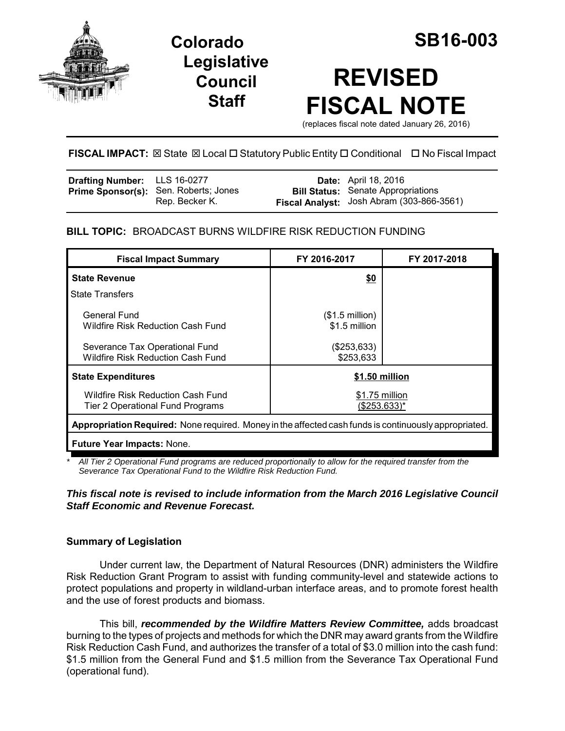

**Legislative Council Staff**

# **REVISED FISCAL NOTE**

(replaces fiscal note dated January 26, 2016)

# **FISCAL IMPACT:** ⊠ State ⊠ Local □ Statutory Public Entity □ Conditional □ No Fiscal Impact

| <b>Drafting Number:</b> LLS 16-0277 |                                                                | <b>Date:</b> April 18, 2016                                                            |
|-------------------------------------|----------------------------------------------------------------|----------------------------------------------------------------------------------------|
|                                     | <b>Prime Sponsor(s):</b> Sen. Roberts; Jones<br>Rep. Becker K. | <b>Bill Status:</b> Senate Appropriations<br>Fiscal Analyst: Josh Abram (303-866-3561) |

# **BILL TOPIC:** BROADCAST BURNS WILDFIRE RISK REDUCTION FUNDING

| <b>Fiscal Impact Summary</b>                                                                          | FY 2016-2017                              | FY 2017-2018 |  |  |  |  |
|-------------------------------------------------------------------------------------------------------|-------------------------------------------|--------------|--|--|--|--|
| <b>State Revenue</b>                                                                                  | \$0                                       |              |  |  |  |  |
| <b>State Transfers</b>                                                                                |                                           |              |  |  |  |  |
| General Fund<br>Wildfire Risk Reduction Cash Fund                                                     | $($1.5 \text{ million})$<br>\$1.5 million |              |  |  |  |  |
| Severance Tax Operational Fund<br><b>Wildfire Risk Reduction Cash Fund</b>                            | (\$253,633)<br>\$253,633                  |              |  |  |  |  |
| <b>State Expenditures</b>                                                                             | \$1.50 million                            |              |  |  |  |  |
| Wildfire Risk Reduction Cash Fund<br>Tier 2 Operational Fund Programs                                 | \$1.75 million<br>(\$253.633)*            |              |  |  |  |  |
| Appropriation Required: None required. Money in the affected cash funds is continuously appropriated. |                                           |              |  |  |  |  |
| <b>Future Year Impacts: None.</b>                                                                     |                                           |              |  |  |  |  |

*\* All Tier 2 Operational Fund programs are reduced proportionally to allow for the required transfer from the Severance Tax Operational Fund to the Wildfire Risk Reduction Fund.*

## *This fiscal note is revised to include information from the March 2016 Legislative Council Staff Economic and Revenue Forecast.*

# **Summary of Legislation**

Under current law, the Department of Natural Resources (DNR) administers the Wildfire Risk Reduction Grant Program to assist with funding community-level and statewide actions to protect populations and property in wildland-urban interface areas, and to promote forest health and the use of forest products and biomass.

This bill, *recommended by the Wildfire Matters Review Committee,* adds broadcast burning to the types of projects and methods for which the DNR may award grants from the Wildfire Risk Reduction Cash Fund, and authorizes the transfer of a total of \$3.0 million into the cash fund: \$1.5 million from the General Fund and \$1.5 million from the Severance Tax Operational Fund (operational fund).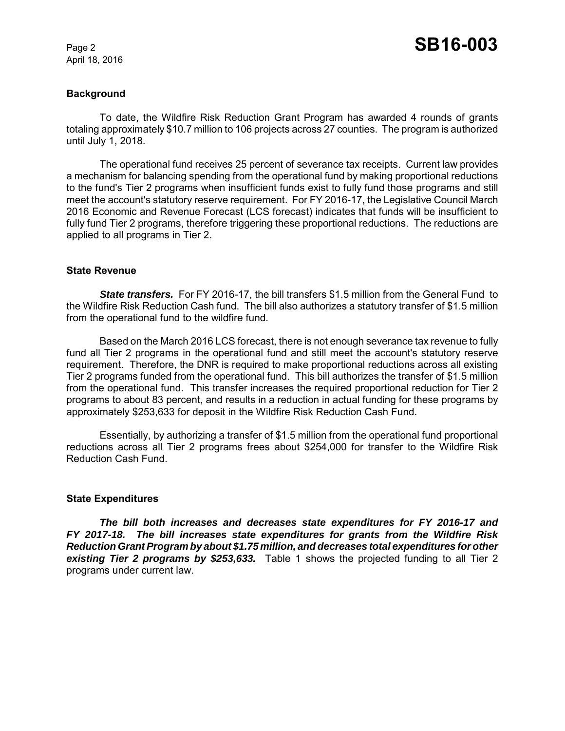#### **Background**

To date, the Wildfire Risk Reduction Grant Program has awarded 4 rounds of grants totaling approximately \$10.7 million to 106 projects across 27 counties. The program is authorized until July 1, 2018.

The operational fund receives 25 percent of severance tax receipts. Current law provides a mechanism for balancing spending from the operational fund by making proportional reductions to the fund's Tier 2 programs when insufficient funds exist to fully fund those programs and still meet the account's statutory reserve requirement. For FY 2016-17, the Legislative Council March 2016 Economic and Revenue Forecast (LCS forecast) indicates that funds will be insufficient to fully fund Tier 2 programs, therefore triggering these proportional reductions. The reductions are applied to all programs in Tier 2.

#### **State Revenue**

**State transfers.** For FY 2016-17, the bill transfers \$1.5 million from the General Fund to the Wildfire Risk Reduction Cash fund. The bill also authorizes a statutory transfer of \$1.5 million from the operational fund to the wildfire fund.

Based on the March 2016 LCS forecast, there is not enough severance tax revenue to fully fund all Tier 2 programs in the operational fund and still meet the account's statutory reserve requirement. Therefore, the DNR is required to make proportional reductions across all existing Tier 2 programs funded from the operational fund. This bill authorizes the transfer of \$1.5 million from the operational fund. This transfer increases the required proportional reduction for Tier 2 programs to about 83 percent, and results in a reduction in actual funding for these programs by approximately \$253,633 for deposit in the Wildfire Risk Reduction Cash Fund.

Essentially, by authorizing a transfer of \$1.5 million from the operational fund proportional reductions across all Tier 2 programs frees about \$254,000 for transfer to the Wildfire Risk Reduction Cash Fund.

#### **State Expenditures**

*The bill both increases and decreases state expenditures for FY 2016-17 and FY 2017-18. The bill increases state expenditures for grants from the Wildfire Risk Reduction Grant Program by about \$1.75 million, and decreases total expenditures for other existing Tier 2 programs by \$253,633.* Table 1 shows the projected funding to all Tier 2 programs under current law.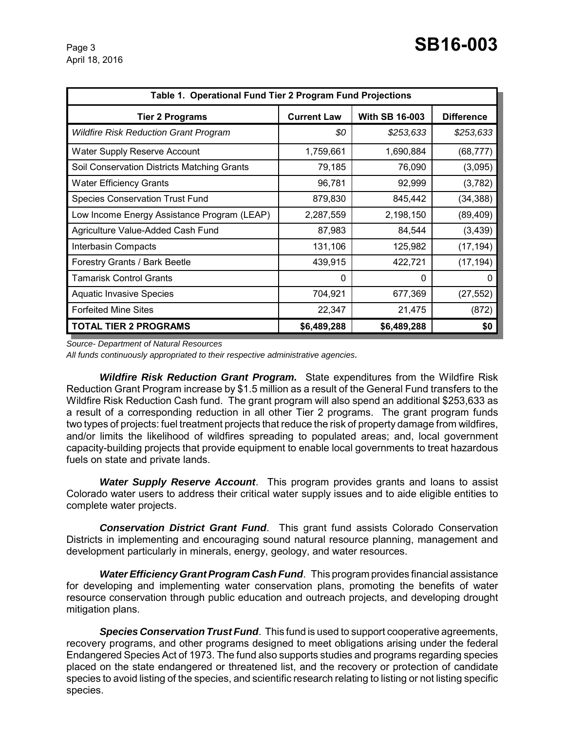| Table 1. Operational Fund Tier 2 Program Fund Projections |                    |                       |                   |  |  |
|-----------------------------------------------------------|--------------------|-----------------------|-------------------|--|--|
| Tier 2 Programs                                           | <b>Current Law</b> | <b>With SB 16-003</b> | <b>Difference</b> |  |  |
| <b>Wildfire Risk Reduction Grant Program</b>              | \$0                | \$253,633             | \$253,633         |  |  |
| <b>Water Supply Reserve Account</b>                       | 1,759,661          | 1,690,884             | (68, 777)         |  |  |
| Soil Conservation Districts Matching Grants               | 79,185             | 76,090                | (3,095)           |  |  |
| <b>Water Efficiency Grants</b>                            | 96,781             | 92,999                | (3,782)           |  |  |
| <b>Species Conservation Trust Fund</b>                    | 879,830            | 845,442               | (34, 388)         |  |  |
| Low Income Energy Assistance Program (LEAP)               | 2,287,559          | 2,198,150             | (89, 409)         |  |  |
| Agriculture Value-Added Cash Fund                         | 87,983             | 84,544                | (3, 439)          |  |  |
| Interbasin Compacts                                       | 131,106            | 125,982               | (17, 194)         |  |  |
| Forestry Grants / Bark Beetle                             | 439,915            | 422,721               | (17, 194)         |  |  |
| <b>Tamarisk Control Grants</b>                            | 0                  | 0                     | $\Omega$          |  |  |
| <b>Aquatic Invasive Species</b>                           | 704,921            | 677,369               | (27, 552)         |  |  |
| <b>Forfeited Mine Sites</b>                               | 22,347             | 21,475                | (872)             |  |  |
| <b>TOTAL TIER 2 PROGRAMS</b>                              | \$6,489,288        | \$6,489,288           | \$0               |  |  |

*Source- Department of Natural Resources*

*All funds continuously appropriated to their respective administrative agencies.*

*Wildfire Risk Reduction Grant Program.* State expenditures from the Wildfire Risk Reduction Grant Program increase by \$1.5 million as a result of the General Fund transfers to the Wildfire Risk Reduction Cash fund. The grant program will also spend an additional \$253,633 as a result of a corresponding reduction in all other Tier 2 programs. The grant program funds two types of projects: fuel treatment projects that reduce the risk of property damage from wildfires, and/or limits the likelihood of wildfires spreading to populated areas; and, local government capacity-building projects that provide equipment to enable local governments to treat hazardous fuels on state and private lands.

*Water Supply Reserve Account*. This program provides grants and loans to assist Colorado water users to address their critical water supply issues and to aide eligible entities to complete water projects.

*Conservation District Grant Fund*. This grant fund assists Colorado Conservation Districts in implementing and encouraging sound natural resource planning, management and development particularly in minerals, energy, geology, and water resources.

*Water Efficiency Grant Program Cash Fund*. This program provides financial assistance for developing and implementing water conservation plans, promoting the benefits of water resource conservation through public education and outreach projects, and developing drought mitigation plans.

*Species Conservation Trust Fund*. This fund is used to support cooperative agreements, recovery programs, and other programs designed to meet obligations arising under the federal Endangered Species Act of 1973. The fund also supports studies and programs regarding species placed on the state endangered or threatened list, and the recovery or protection of candidate species to avoid listing of the species, and scientific research relating to listing or not listing specific species.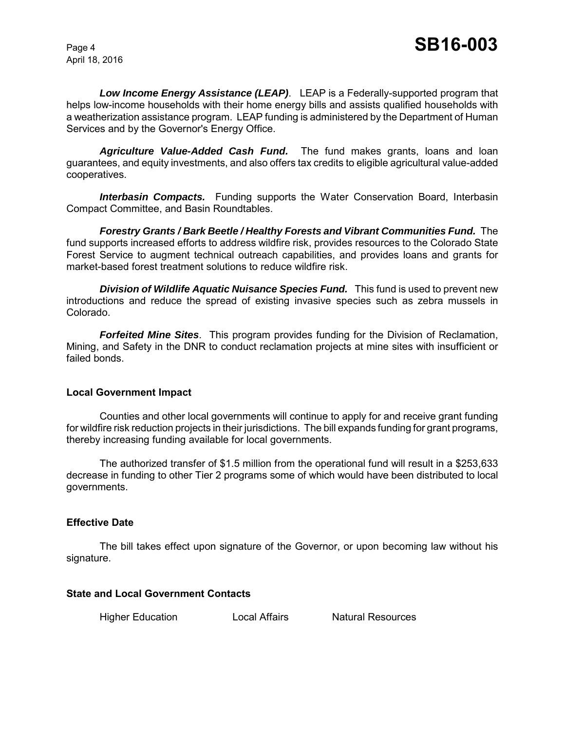*Low Income Energy Assistance (LEAP)*. LEAP is a Federally-supported program that helps low-income households with their home energy bills and assists qualified households with a weatherization assistance program. LEAP funding is administered by the Department of Human Services and by the Governor's Energy Office.

*Agriculture Value-Added Cash Fund.* The fund makes grants, loans and loan guarantees, and equity investments, and also offers tax credits to eligible agricultural value-added cooperatives.

**Interbasin Compacts.** Funding supports the Water Conservation Board, Interbasin Compact Committee, and Basin Roundtables.

*Forestry Grants / Bark Beetle / Healthy Forests and Vibrant Communities Fund.* The fund supports increased efforts to address wildfire risk, provides resources to the Colorado State Forest Service to augment technical outreach capabilities, and provides loans and grants for market-based forest treatment solutions to reduce wildfire risk.

**Division of Wildlife Aquatic Nuisance Species Fund.** This fund is used to prevent new introductions and reduce the spread of existing invasive species such as zebra mussels in Colorado.

*Forfeited Mine Sites*. This program provides funding for the Division of Reclamation, Mining, and Safety in the DNR to conduct reclamation projects at mine sites with insufficient or failed bonds.

#### **Local Government Impact**

Counties and other local governments will continue to apply for and receive grant funding for wildfire risk reduction projects in their jurisdictions. The bill expands funding for grant programs, thereby increasing funding available for local governments.

The authorized transfer of \$1.5 million from the operational fund will result in a \$253,633 decrease in funding to other Tier 2 programs some of which would have been distributed to local governments.

# **Effective Date**

The bill takes effect upon signature of the Governor, or upon becoming law without his signature.

# **State and Local Government Contacts**

Higher Education **Local Affairs** Natural Resources